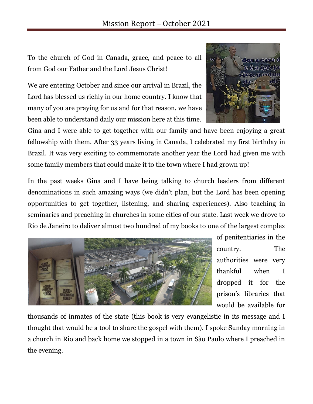To the church of God in Canada, grace, and peace to all from God our Father and the Lord Jesus Christ!

We are entering October and since our arrival in Brazil, the Lord has blessed us richly in our home country. I know that many of you are praying for us and for that reason, we have been able to understand daily our mission here at this time.

Gina and I were able to get together with our family and have been enjoying a great fellowship with them. After 33 years living in Canada, I celebrated my first birthday in Brazil. It was very exciting to commemorate another year the Lord had given me with some family members that could make it to the town where I had grown up!

In the past weeks Gina and I have being talking to church leaders from different denominations in such amazing ways (we didn't plan, but the Lord has been opening opportunities to get together, listening, and sharing experiences). Also teaching in seminaries and preaching in churches in some cities of our state. Last week we drove to Rio de Janeiro to deliver almost two hundred of my books to one of the largest complex



of penitentiaries in the country. The authorities were very thankful when I dropped it for the prison's libraries that would be available for

thousands of inmates of the state (this book is very evangelistic in its message and I thought that would be a tool to share the gospel with them). I spoke Sunday morning in a church in Rio and back home we stopped in a town in São Paulo where I preached in the evening.

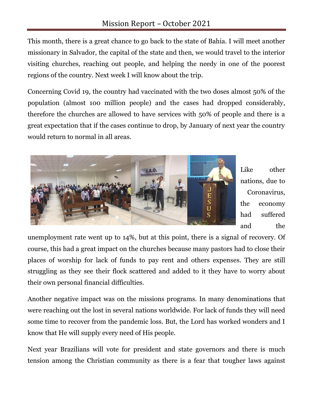This month, there is a great chance to go back to the state of Bahia. I will meet another missionary in Salvador, the capital of the state and then, we would travel to the interior visiting churches, reaching out people, and helping the needy in one of the poorest regions of the country. Next week I will know about the trip.

Concerning Covid 19, the country had vaccinated with the two doses almost 50% of the population (almost 100 million people) and the cases had dropped considerably, therefore the churches are allowed to have services with 50% of people and there is a great expectation that if the cases continue to drop, by January of next year the country would return to normal in all areas.



Like other nations, due to Coronavirus, the economy had suffered and the

unemployment rate went up to 14%, but at this point, there is a signal of recovery. Of course, this had a great impact on the churches because many pastors had to close their places of worship for lack of funds to pay rent and others expenses. They are still struggling as they see their flock scattered and added to it they have to worry about their own personal financial difficulties.

Another negative impact was on the missions programs. In many denominations that were reaching out the lost in several nations worldwide. For lack of funds they will need some time to recover from the pandemic loss. But, the Lord has worked wonders and I know that He will supply every need of His people.

Next year Brazilians will vote for president and state governors and there is much tension among the Christian community as there is a fear that tougher laws against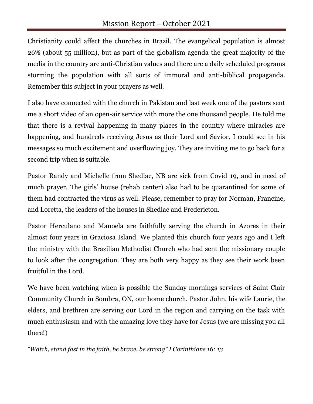Christianity could affect the churches in Brazil. The evangelical population is almost 26% (about 55 million), but as part of the globalism agenda the great majority of the media in the country are anti-Christian values and there are a daily scheduled programs storming the population with all sorts of immoral and anti-biblical propaganda. Remember this subject in your prayers as well.

I also have connected with the church in Pakistan and last week one of the pastors sent me a short video of an open-air service with more the one thousand people. He told me that there is a revival happening in many places in the country where miracles are happening, and hundreds receiving Jesus as their Lord and Savior. I could see in his messages so much excitement and overflowing joy. They are inviting me to go back for a second trip when is suitable.

Pastor Randy and Michelle from Shediac, NB are sick from Covid 19, and in need of much prayer. The girls' house (rehab center) also had to be quarantined for some of them had contracted the virus as well. Please, remember to pray for Norman, Francine, and Loretta, the leaders of the houses in Shediac and Fredericton.

Pastor Herculano and Manoela are faithfully serving the church in Azores in their almost four years in Graciosa Island. We planted this church four years ago and I left the ministry with the Brazilian Methodist Church who had sent the missionary couple to look after the congregation. They are both very happy as they see their work been fruitful in the Lord.

We have been watching when is possible the Sunday mornings services of Saint Clair Community Church in Sombra, ON, our home church. Pastor John, his wife Laurie, the elders, and brethren are serving our Lord in the region and carrying on the task with much enthusiasm and with the amazing love they have for Jesus (we are missing you all there!)

*"Watch, stand fast in the faith, be brave, be strong" I Corinthians 16: 13*